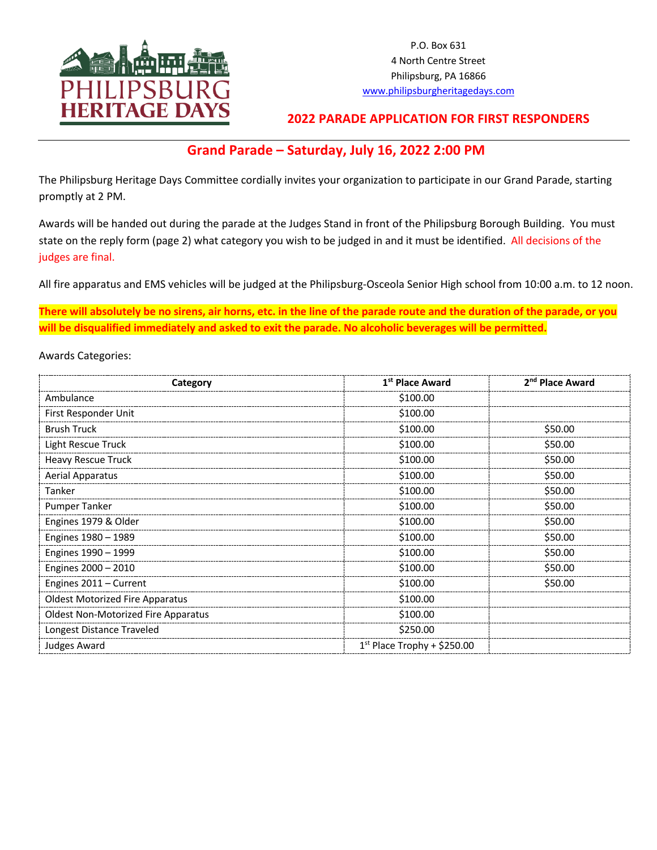

P.O. Box 631 4 North Centre Street Philipsburg, PA 16866 www.philipsburgheritagedays.com

## **2022 PARADE APPLICATION FOR FIRST RESPONDERS**

## **Grand Parade – Saturday, July 16, 2022 2:00 PM**

The Philipsburg Heritage Days Committee cordially invites your organization to participate in our Grand Parade, starting promptly at 2 PM.

Awards will be handed out during the parade at the Judges Stand in front of the Philipsburg Borough Building. You must state on the reply form (page 2) what category you wish to be judged in and it must be identified. All decisions of the judges are final.

All fire apparatus and EMS vehicles will be judged at the Philipsburg-Osceola Senior High school from 10:00 a.m. to 12 noon.

**There will absolutely be no sirens, air horns, etc. in the line of the parade route and the duration of the parade, or you will be disqualified immediately and asked to exit the parade. No alcoholic beverages will be permitted.**

Awards Categories:

| Category                                   | 1 <sup>st</sup> Place Award   | 2 <sup>nd</sup> Place Award |  |
|--------------------------------------------|-------------------------------|-----------------------------|--|
| Ambulance                                  | \$100.00                      |                             |  |
| First Responder Unit                       | \$100.00                      |                             |  |
| <b>Brush Truck</b>                         | \$100.00                      | \$50.00                     |  |
| Light Rescue Truck                         | \$100.00                      | \$50.00                     |  |
| <b>Heavy Rescue Truck</b>                  | \$100.00                      | \$50.00                     |  |
| <b>Aerial Apparatus</b>                    | \$100.00                      | \$50.00                     |  |
| Tanker                                     | \$100.00                      | \$50.00                     |  |
| <b>Pumper Tanker</b>                       | \$100.00                      | \$50.00                     |  |
| Engines 1979 & Older                       | \$100.00                      | \$50.00                     |  |
| Engines 1980 - 1989                        | \$100.00                      | \$50.00                     |  |
| Engines 1990 - 1999                        | \$100.00<br>\$50.00           |                             |  |
| Engines 2000 - 2010                        | \$100.00<br>\$50.00           |                             |  |
| Engines 2011 - Current                     | \$100.00                      | \$50.00                     |  |
| <b>Oldest Motorized Fire Apparatus</b>     | \$100.00                      |                             |  |
| <b>Oldest Non-Motorized Fire Apparatus</b> | \$100.00                      |                             |  |
| Longest Distance Traveled                  | \$250.00                      |                             |  |
| Judges Award                               | $1st$ Place Trophy + \$250.00 |                             |  |